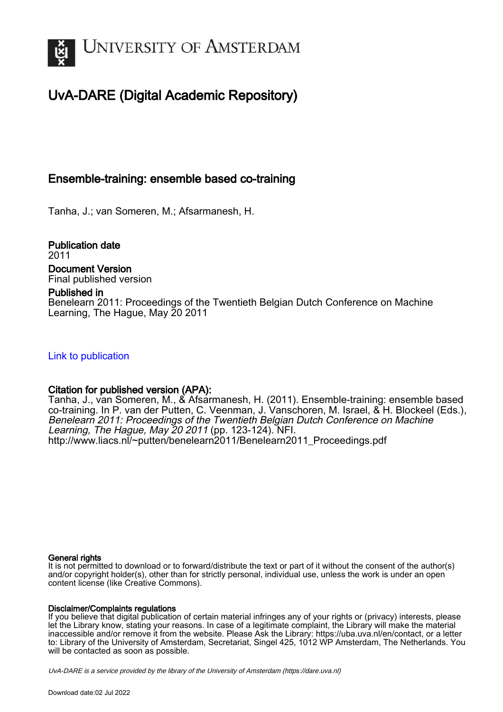

# UvA-DARE (Digital Academic Repository)

### Ensemble-training: ensemble based co-training

Tanha, J.; van Someren, M.; Afsarmanesh, H.

Publication date 2011 Document Version Final published version

### Published in

Benelearn 2011: Proceedings of the Twentieth Belgian Dutch Conference on Machine Learning, The Hague, May 20 2011

[Link to publication](https://dare.uva.nl/personal/pure/en/publications/ensembletraining-ensemble-based-cotraining(4e2e4252-477a-4fb9-96d3-94fc3bd7bc30).html)

### Citation for published version (APA):

Tanha, J., van Someren, M., & Afsarmanesh, H. (2011). Ensemble-training: ensemble based co-training. In P. van der Putten, C. Veenman, J. Vanschoren, M. Israel, & H. Blockeel (Eds.), Benelearn 2011: Proceedings of the Twentieth Belgian Dutch Conference on Machine Learning, The Hague, May 20 2011 (pp. 123-124). NFI. [http://www.liacs.nl/~putten/benelearn2011/Benelearn2011\\_Proceedings.pdf](http://www.liacs.nl/~putten/benelearn2011/Benelearn2011_Proceedings.pdf)

#### General rights

It is not permitted to download or to forward/distribute the text or part of it without the consent of the author(s) and/or copyright holder(s), other than for strictly personal, individual use, unless the work is under an open content license (like Creative Commons).

#### Disclaimer/Complaints regulations

If you believe that digital publication of certain material infringes any of your rights or (privacy) interests, please let the Library know, stating your reasons. In case of a legitimate complaint, the Library will make the material inaccessible and/or remove it from the website. Please Ask the Library: https://uba.uva.nl/en/contact, or a letter to: Library of the University of Amsterdam, Secretariat, Singel 425, 1012 WP Amsterdam, The Netherlands. You will be contacted as soon as possible.

UvA-DARE is a service provided by the library of the University of Amsterdam (http*s*://dare.uva.nl)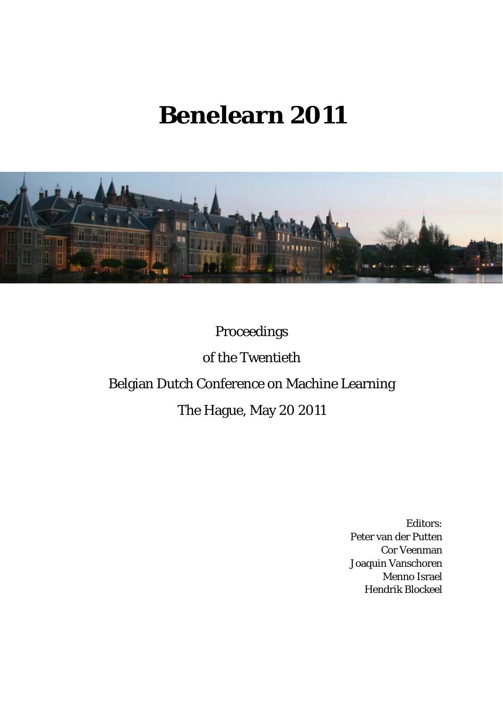# **Benelearn 2011**



# Proceedings

of the Twentieth

# Belgian Dutch Conference on Machine Learning

## The Hague, May 20 2011

Editors: Peter van der Putten Cor Veenman Joaquin Vanschoren Menno Israel Hendrik Blockeel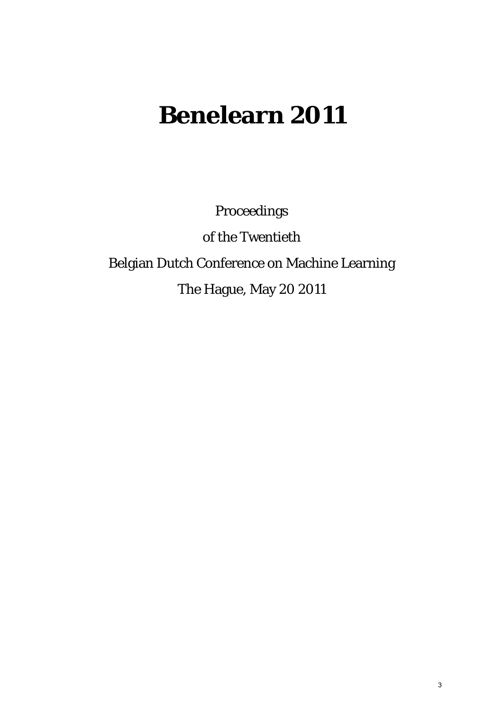# **Benelearn 2011**

Proceedings

of the Twentieth Belgian Dutch Conference on Machine Learning The Hague, May 20 2011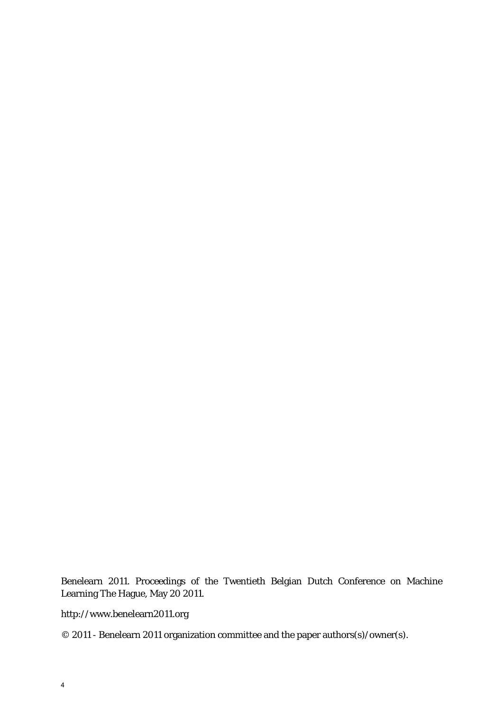Benelearn 2011. Proceedings of the Twentieth Belgian Dutch Conference on Machine Learning The Hague, May 20 2011.

http://www.benelearn2011.org

© 2011 - Benelearn 2011 organization committee and the paper authors(s)/owner(s).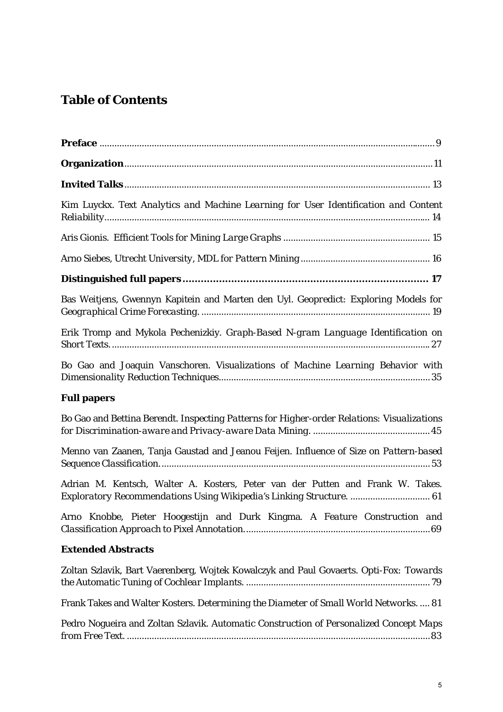## **Table of Contents**

| Kim Luyckx. Text Analytics and Machine Learning for User Identification and Content                                                                    |
|--------------------------------------------------------------------------------------------------------------------------------------------------------|
|                                                                                                                                                        |
|                                                                                                                                                        |
|                                                                                                                                                        |
| Bas Weitjens, Gwennyn Kapitein and Marten den Uyl. Geopredict: Exploring Models for                                                                    |
| Erik Tromp and Mykola Pechenizkiy. Graph-Based N-gram Language Identification on                                                                       |
| Bo Gao and Joaquin Vanschoren. Visualizations of Machine Learning Behavior with                                                                        |
| <b>Full papers</b>                                                                                                                                     |
| Bo Gao and Bettina Berendt. Inspecting Patterns for Higher-order Relations: Visualizations                                                             |
| Menno van Zaanen, Tanja Gaustad and Jeanou Feijen. Influence of Size on Pattern-based                                                                  |
| Adrian M. Kentsch, Walter A. Kosters, Peter van der Putten and Frank W. Takes.<br>Exploratory Recommendations Using Wikipedia's Linking Structure.  61 |
| Arno Knobbe, Pieter Hoogestijn and Durk Kingma. A Feature Construction and                                                                             |
| <b>Extended Abstracts</b>                                                                                                                              |
| Zoltan Szlavik, Bart Vaerenberg, Wojtek Kowalczyk and Paul Govaerts. Opti-Fox: Towards                                                                 |
| Frank Takes and Walter Kosters. Determining the Diameter of Small World Networks.  81                                                                  |
| Pedro Nogueira and Zoltan Szlavik. Automatic Construction of Personalized Concept Maps                                                                 |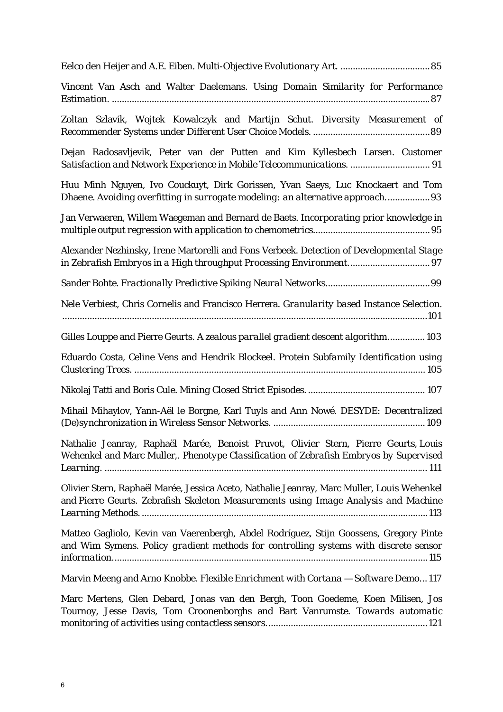| Vincent Van Asch and Walter Daelemans. Using Domain Similarity for Performance                                                                                                    |
|-----------------------------------------------------------------------------------------------------------------------------------------------------------------------------------|
| Zoltan Szlavik, Wojtek Kowalczyk and Martijn Schut. Diversity Measurement of                                                                                                      |
| Dejan Radosavljevik, Peter van der Putten and Kim Kyllesbech Larsen. Customer<br>Satisfaction and Network Experience in Mobile Telecommunications.  91                            |
| Huu Minh Nguyen, Ivo Couckuyt, Dirk Gorissen, Yvan Saeys, Luc Knockaert and Tom<br>Dhaene. Avoiding overfitting in surrogate modeling: an alternative approach93                  |
| Jan Verwaeren, Willem Waegeman and Bernard de Baets. Incorporating prior knowledge in                                                                                             |
| Alexander Nezhinsky, Irene Martorelli and Fons Verbeek. Detection of Developmental Stage                                                                                          |
|                                                                                                                                                                                   |
| Nele Verbiest, Chris Cornelis and Francisco Herrera. Granularity based Instance Selection.                                                                                        |
| Gilles Louppe and Pierre Geurts. A zealous parallel gradient descent algorithm 103                                                                                                |
| Eduardo Costa, Celine Vens and Hendrik Blockeel. Protein Subfamily Identification using                                                                                           |
|                                                                                                                                                                                   |
| Mihail Mihaylov, Yann-Aël le Borgne, Karl Tuyls and Ann Nowé. DESYDE: Decentralized                                                                                               |
| Nathalie Jeanray, Raphaël Marée, Benoist Pruvot, Olivier Stern, Pierre Geurts, Louis<br>Wehenkel and Marc Muller,. Phenotype Classification of Zebrafish Embryos by Supervised    |
| Olivier Stern, Raphaël Marée, Jessica Aceto, Nathalie Jeanray, Marc Muller, Louis Wehenkel<br>and Pierre Geurts. Zebrafish Skeleton Measurements using Image Analysis and Machine |
| Matteo Gagliolo, Kevin van Vaerenbergh, Abdel Rodríguez, Stijn Goossens, Gregory Pinte<br>and Wim Symens. Policy gradient methods for controlling systems with discrete sensor    |
| Marvin Meeng and Arno Knobbe. Flexible Enrichment with Cortana - Software Demo117                                                                                                 |
| Marc Mertens, Glen Debard, Jonas van den Bergh, Toon Goedeme, Koen Milisen, Jos<br>Tournoy, Jesse Davis, Tom Croonenborghs and Bart Vanrumste. Towards automatic                  |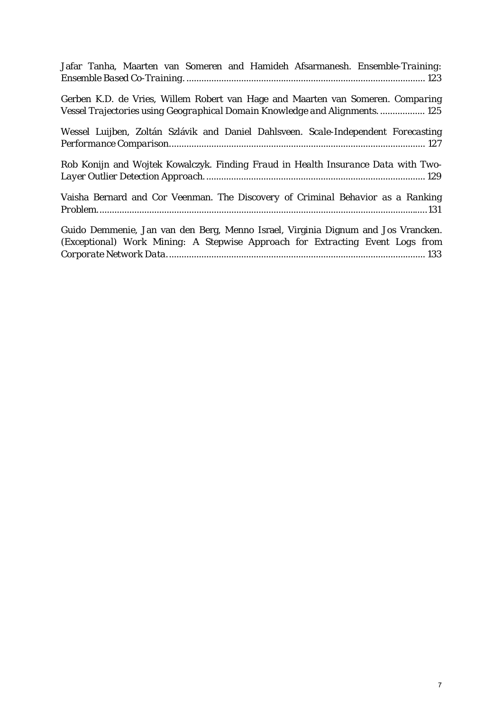| Jafar Tanha, Maarten van Someren and Hamideh Afsarmanesh. Ensemble-Training:                                                                                    |
|-----------------------------------------------------------------------------------------------------------------------------------------------------------------|
| Gerben K.D. de Vries, Willem Robert van Hage and Maarten van Someren. Comparing<br>Vessel Trajectories using Geographical Domain Knowledge and Alignments.  125 |
| Wessel Luijben, Zoltán Szlávik and Daniel Dahlsveen. Scale-Independent Forecasting                                                                              |
| Rob Konijn and Wojtek Kowalczyk. Finding Fraud in Health Insurance Data with Two-                                                                               |
| Vaisha Bernard and Cor Veenman. The Discovery of Criminal Behavior as a Ranking                                                                                 |
| Guido Demmenie, Jan van den Berg, Menno Israel, Virginia Dignum and Jos Vrancken.                                                                               |

*(Exceptional) Work Mining: A Stepwise Approach for Extracting Event Logs from Corporate Network Data*........................................................................................................ 133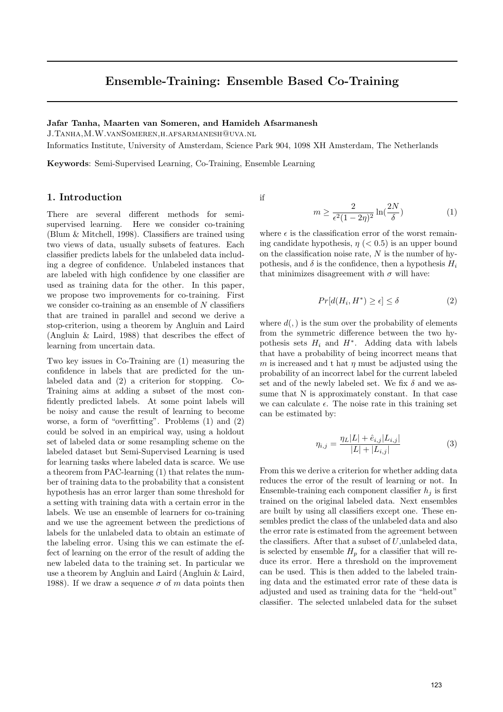### Ensemble-Training: Ensemble Based Co-Training

#### Jafar Tanha, Maarten van Someren, and Hamideh Afsarmanesh

J.Tanha,M.W.vanSomeren,h.afsarmanesh@uva.nl

Informatics Institute, University of Amsterdam, Science Park 904, 1098 XH Amsterdam, The Netherlands

Keywords: Semi-Supervised Learning, Co-Training, Ensemble Learning

#### 1. Introduction

There are several different methods for semisupervised learning. Here we consider co-training (Blum & Mitchell, 1998). Classifiers are trained using two views of data, usually subsets of features. Each classifier predicts labels for the unlabeled data including a degree of confidence. Unlabeled instances that are labeled with high confidence by one classifier are used as training data for the other. In this paper, we propose two improvements for co-training. First we consider co-training as an ensemble of  $N$  classifiers that are trained in parallel and second we derive a stop-criterion, using a theorem by Angluin and Laird (Angluin & Laird, 1988) that describes the effect of learning from uncertain data.

Two key issues in Co-Training are (1) measuring the confidence in labels that are predicted for the unlabeled data and (2) a criterion for stopping. Co-Training aims at adding a subset of the most confidently predicted labels. At some point labels will be noisy and cause the result of learning to become worse, a form of "overfitting". Problems (1) and (2) could be solved in an empirical way, using a holdout set of labeled data or some resampling scheme on the labeled dataset but Semi-Supervised Learning is used for learning tasks where labeled data is scarce. We use a theorem from PAC-learning (1) that relates the number of training data to the probability that a consistent hypothesis has an error larger than some threshold for a setting with training data with a certain error in the labels. We use an ensemble of learners for co-training and we use the agreement between the predictions of labels for the unlabeled data to obtain an estimate of the labeling error. Using this we can estimate the effect of learning on the error of the result of adding the new labeled data to the training set. In particular we use a theorem by Angluin and Laird (Angluin & Laird, 1988). If we draw a sequence  $\sigma$  of m data points then

if

$$
m \ge \frac{2}{\epsilon^2 (1 - 2\eta)^2} \ln(\frac{2N}{\delta})
$$
\n(1)

where  $\epsilon$  is the classification error of the worst remaining candidate hypothesis,  $\eta$  (< 0.5) is an upper bound on the classification noise rate,  $N$  is the number of hypothesis, and  $\delta$  is the confidence, then a hypothesis  $H_i$ that minimizes disagreement with  $\sigma$  will have:

$$
Pr[d(H_i, H^*) \ge \epsilon] \le \delta \tag{2}
$$

where  $d(.)$  is the sum over the probability of elements from the symmetric difference between the two hypothesis sets  $H_i$  and  $H^*$ . Adding data with labels that have a probability of being incorrect means that m is increased and t hat  $\eta$  must be adjusted using the probability of an incorrect label for the current labeled set and of the newly labeled set. We fix  $\delta$  and we assume that N is approximately constant. In that case we can calculate  $\epsilon$ . The noise rate in this training set can be estimated by:

$$
\eta_{i,j} = \frac{\eta_L |L| + \hat{e}_{i,j} |L_{i,j}|}{|L| + |L_{i,j}|} \tag{3}
$$

From this we derive a criterion for whether adding data reduces the error of the result of learning or not. In Ensemble-training each component classifier  $h_i$  is first trained on the original labeled data. Next ensembles are built by using all classifiers except one. These ensembles predict the class of the unlabeled data and also the error rate is estimated from the agreement between the classifiers. After that a subset of  $U$ , unlabeled data, is selected by ensemble  $H_p$  for a classifier that will reduce its error. Here a threshold on the improvement can be used. This is then added to the labeled training data and the estimated error rate of these data is adjusted and used as training data for the "held-out" classifier. The selected unlabeled data for the subset